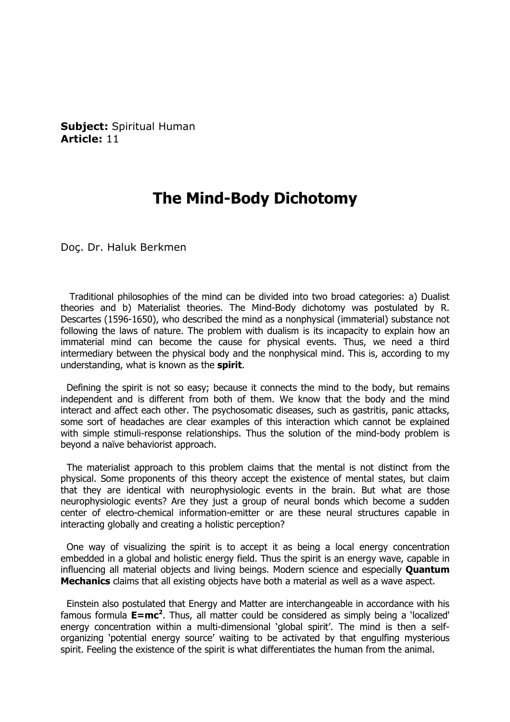Subject: Spiritual Human Article: 11

## The Mind-Body Dichotomy

Doç. Dr. Haluk Berkmen

 Traditional philosophies of the mind can be divided into two broad categories: a) Dualist theories and b) Materialist theories. The Mind-Body dichotomy was postulated by R. Descartes (1596-1650), who described the mind as a nonphysical (immaterial) substance not following the laws of nature. The problem with dualism is its incapacity to explain how an immaterial mind can become the cause for physical events. Thus, we need a third intermediary between the physical body and the nonphysical mind. This is, according to my understanding, what is known as the spirit.

 Defining the spirit is not so easy; because it connects the mind to the body, but remains independent and is different from both of them. We know that the body and the mind interact and affect each other. The psychosomatic diseases, such as gastritis, panic attacks, some sort of headaches are clear examples of this interaction which cannot be explained with simple stimuli-response relationships. Thus the solution of the mind-body problem is beyond a naïve behaviorist approach.

 The materialist approach to this problem claims that the mental is not distinct from the physical. Some proponents of this theory accept the existence of mental states, but claim that they are identical with neurophysiologic events in the brain. But what are those neurophysiologic events? Are they just a group of neural bonds which become a sudden center of electro-chemical information-emitter or are these neural structures capable in interacting globally and creating a holistic perception?

 One way of visualizing the spirit is to accept it as being a local energy concentration embedded in a global and holistic energy field. Thus the spirit is an energy wave, capable in influencing all material objects and living beings. Modern science and especially **Ouantum Mechanics** claims that all existing objects have both a material as well as a wave aspect.

 Einstein also postulated that Energy and Matter are interchangeable in accordance with his famous formula  $E=mc^2$ . Thus, all matter could be considered as simply being a 'localized' energy concentration within a multi-dimensional 'global spirit'. The mind is then a selforganizing 'potential energy source' waiting to be activated by that engulfing mysterious spirit. Feeling the existence of the spirit is what differentiates the human from the animal.